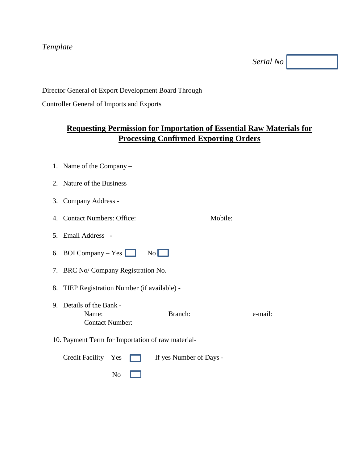### *Template*

*Serial No*

Director General of Export Development Board Through

Controller General of Imports and Exports

# **Requesting Permission for Importation of Essential Raw Materials for Processing Confirmed Exporting Orders**

- 1. Name of the Company –
- 2. Nature of the Business
- 3. Company Address -
- 4. Contact Numbers: Office: Mobile:
- 5. Email Address -
- 6. BOI Company Yes  $\Box$  No
- 7. BRC No/ Company Registration No. –
- 8. TIEP Registration Number (if available) -
- 9. Details of the Bank Name: Branch: Branch: e-mail: Contact Number:
- 10. Payment Term for Importation of raw material-

|                         | Credit Facility – Yes $\Box$ If yes Number of Days - |
|-------------------------|------------------------------------------------------|
| $\overline{N_0}$ $\Box$ |                                                      |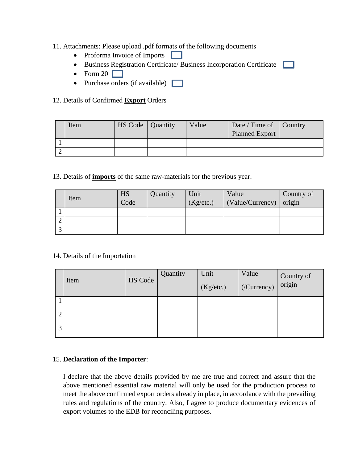#### 11. Attachments: Please upload .pdf formats of the following documents

- Proforma Invoice of Imports  $\Box$
- Business Registration Certificate/ Business Incorporation Certificate
- Form  $20$
- Purchase orders (if available)  $\Box$

#### 12. Details of Confirmed **Export** Orders

| Item | HS Code   Quantity | Value | Date / Time of   Country<br><b>Planned Export</b> |  |
|------|--------------------|-------|---------------------------------------------------|--|
|      |                    |       |                                                   |  |
|      |                    |       |                                                   |  |

13. Details of **imports** of the same raw-materials for the previous year.

|   | Item | HS   | Quantity | Unit      | Value            | Country of |
|---|------|------|----------|-----------|------------------|------------|
|   |      | Code |          | (Kg/etc.) | (Value/Currency) | origin     |
|   |      |      |          |           |                  |            |
| ∸ |      |      |          |           |                  |            |
|   |      |      |          |           |                  |            |

#### 14. Details of the Importation

|   | Item | HS Code | Quantity | Unit<br>(Kg/etc.) | Value<br>$\sqrt{(Currency)}$ | Country of<br>origin |
|---|------|---------|----------|-------------------|------------------------------|----------------------|
|   |      |         |          |                   |                              |                      |
|   |      |         |          |                   |                              |                      |
| 3 |      |         |          |                   |                              |                      |

#### 15. **Declaration of the Importer**:

I declare that the above details provided by me are true and correct and assure that the above mentioned essential raw material will only be used for the production process to meet the above confirmed export orders already in place, in accordance with the prevailing rules and regulations of the country. Also, I agree to produce documentary evidences of export volumes to the EDB for reconciling purposes.